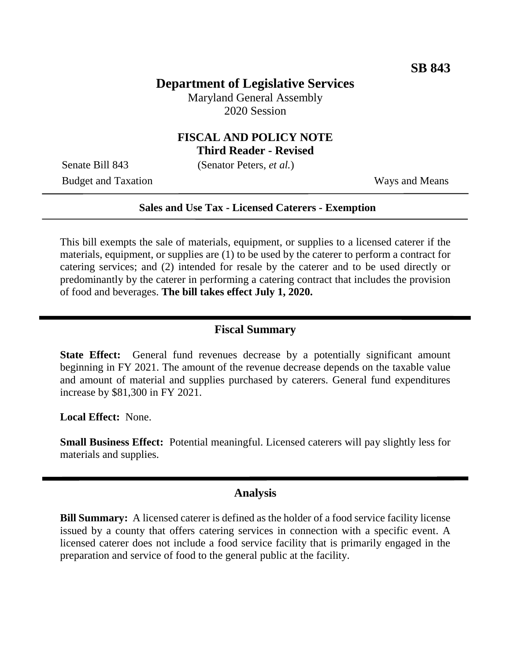# **Department of Legislative Services**

Maryland General Assembly 2020 Session

## **FISCAL AND POLICY NOTE Third Reader - Revised**

Senate Bill 843 (Senator Peters, *et al.*)

Budget and Taxation Ways and Means

#### **Sales and Use Tax - Licensed Caterers - Exemption**

This bill exempts the sale of materials, equipment, or supplies to a licensed caterer if the materials, equipment, or supplies are (1) to be used by the caterer to perform a contract for catering services; and (2) intended for resale by the caterer and to be used directly or predominantly by the caterer in performing a catering contract that includes the provision of food and beverages. **The bill takes effect July 1, 2020.**

## **Fiscal Summary**

**State Effect:** General fund revenues decrease by a potentially significant amount beginning in FY 2021. The amount of the revenue decrease depends on the taxable value and amount of material and supplies purchased by caterers. General fund expenditures increase by \$81,300 in FY 2021.

**Local Effect:** None.

**Small Business Effect:** Potential meaningful. Licensed caterers will pay slightly less for materials and supplies.

### **Analysis**

**Bill Summary:** A licensed caterer is defined as the holder of a food service facility license issued by a county that offers catering services in connection with a specific event. A licensed caterer does not include a food service facility that is primarily engaged in the preparation and service of food to the general public at the facility.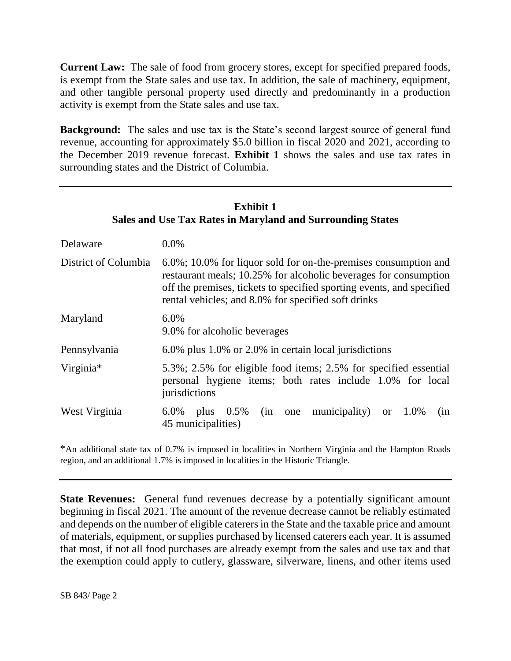**Current Law:** The sale of food from grocery stores, except for specified prepared foods, is exempt from the State sales and use tax. In addition, the sale of machinery, equipment, and other tangible personal property used directly and predominantly in a production activity is exempt from the State sales and use tax.

**Background:** The sales and use tax is the State's second largest source of general fund revenue, accounting for approximately \$5.0 billion in fiscal 2020 and 2021, according to the December 2019 revenue forecast. **Exhibit 1** shows the sales and use tax rates in surrounding states and the District of Columbia.

| <b>Exhibit 1</b><br><b>Sales and Use Tax Rates in Maryland and Surrounding States</b> |                                                                                                                                                                                                                                                                         |  |
|---------------------------------------------------------------------------------------|-------------------------------------------------------------------------------------------------------------------------------------------------------------------------------------------------------------------------------------------------------------------------|--|
| Delaware                                                                              | $0.0\%$                                                                                                                                                                                                                                                                 |  |
| District of Columbia                                                                  | $6.0\%$ ; 10.0% for liquor sold for on-the-premises consumption and<br>restaurant meals; 10.25% for alcoholic beverages for consumption<br>off the premises, tickets to specified sporting events, and specified<br>rental vehicles; and 8.0% for specified soft drinks |  |
| Maryland                                                                              | 6.0%<br>9.0% for alcoholic beverages                                                                                                                                                                                                                                    |  |
| Pennsylvania                                                                          | 6.0% plus 1.0% or 2.0% in certain local jurisdictions                                                                                                                                                                                                                   |  |
| Virginia*                                                                             | 5.3%; 2.5% for eligible food items; 2.5% for specified essential<br>personal hygiene items; both rates include 1.0% for local<br>jurisdictions                                                                                                                          |  |
| West Virginia                                                                         | municipality) or $1.0\%$<br>plus $0.5\%$<br>6.0%<br>(in<br>one<br>(nn)<br>45 municipalities)                                                                                                                                                                            |  |

\*An additional state tax of 0.7% is imposed in localities in Northern Virginia and the Hampton Roads region, and an additional 1.7% is imposed in localities in the Historic Triangle.

**State Revenues:** General fund revenues decrease by a potentially significant amount beginning in fiscal 2021. The amount of the revenue decrease cannot be reliably estimated and depends on the number of eligible caterers in the State and the taxable price and amount of materials, equipment, or supplies purchased by licensed caterers each year. It is assumed that most, if not all food purchases are already exempt from the sales and use tax and that the exemption could apply to cutlery, glassware, silverware, linens, and other items used